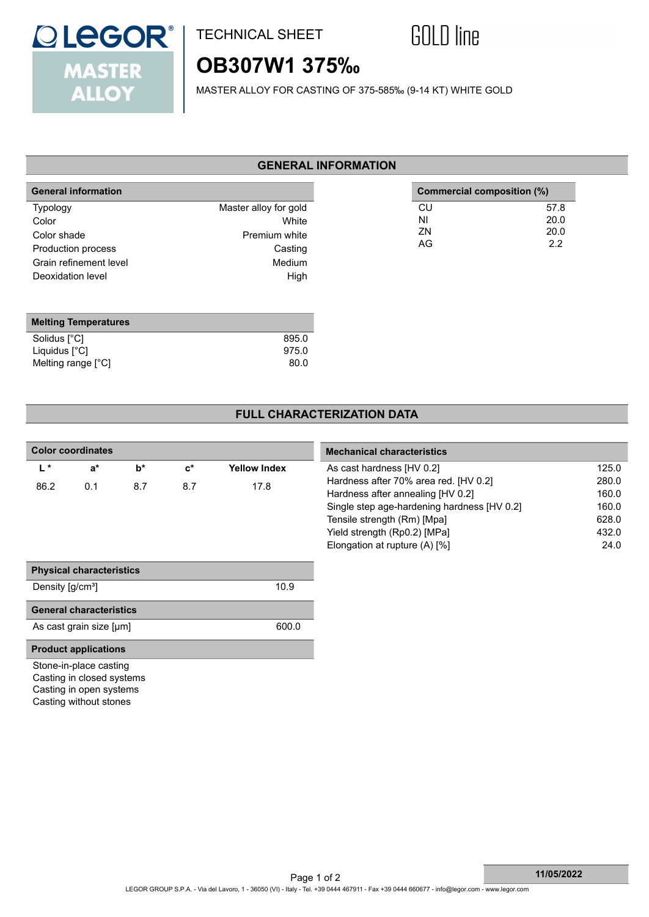

## TECHNICAL SHEET



# **OB307W1 375‰**

MASTER ALLOY FOR CASTING OF 375-585‰ (9-14 KT) WHITE GOLD

### **GENERAL INFORMATION**

| <b>General information</b>                                                                                   |                                                                              | Commercial composition (%) |                             |
|--------------------------------------------------------------------------------------------------------------|------------------------------------------------------------------------------|----------------------------|-----------------------------|
| <b>Typology</b><br>Color<br>Color shade<br>Production process<br>Grain refinement level<br>Deoxidation level | Master alloy for gold<br>White<br>Premium white<br>Casting<br>Medium<br>High | CU<br>ΝI<br>ZN<br>AG       | 57.8<br>20.0<br>20.0<br>2.2 |
|                                                                                                              |                                                                              |                            |                             |

| <b>Melting Temperatures</b> |       |
|-----------------------------|-------|
| Solidus [°C]                | 895.0 |
| Liquidus [°C]               | 975.0 |
| Melting range [°C]          | 80.0  |

### **FULL CHARACTERIZATION DATA**

| <b>Color coordinates</b>     |                                                                                                          |       | <b>Mechanical characteristics</b> |                     |                                                                            |                |
|------------------------------|----------------------------------------------------------------------------------------------------------|-------|-----------------------------------|---------------------|----------------------------------------------------------------------------|----------------|
| $L^*$                        | $a^*$                                                                                                    | $b^*$ | $\mathbf{c}^*$                    | <b>Yellow Index</b> | As cast hardness [HV 0.2]                                                  | 125.0          |
| 86.2                         | 0.1                                                                                                      | 8.7   | 8.7                               | 17.8                | Hardness after 70% area red. [HV 0.2]<br>Hardness after annealing [HV 0.2] | 280.0<br>160.0 |
|                              |                                                                                                          |       |                                   |                     | Single step age-hardening hardness [HV 0.2]                                | 160.0          |
|                              |                                                                                                          |       |                                   |                     | Tensile strength (Rm) [Mpa]                                                | 628.0          |
|                              |                                                                                                          |       |                                   |                     | Yield strength (Rp0.2) [MPa]                                               | 432.0          |
|                              |                                                                                                          |       |                                   |                     | Elongation at rupture (A) [%]                                              | 24.0           |
|                              |                                                                                                          |       |                                   |                     |                                                                            |                |
|                              | <b>Physical characteristics</b>                                                                          |       |                                   |                     |                                                                            |                |
| Density [g/cm <sup>3</sup> ] |                                                                                                          |       |                                   | 10.9                |                                                                            |                |
|                              | <b>General characteristics</b>                                                                           |       |                                   |                     |                                                                            |                |
|                              | As cast grain size [µm]                                                                                  |       |                                   | 600.0               |                                                                            |                |
|                              | <b>Product applications</b>                                                                              |       |                                   |                     |                                                                            |                |
|                              | Stone-in-place casting<br>Casting in closed systems<br>Casting in open systems<br>Casting without stones |       |                                   |                     |                                                                            |                |